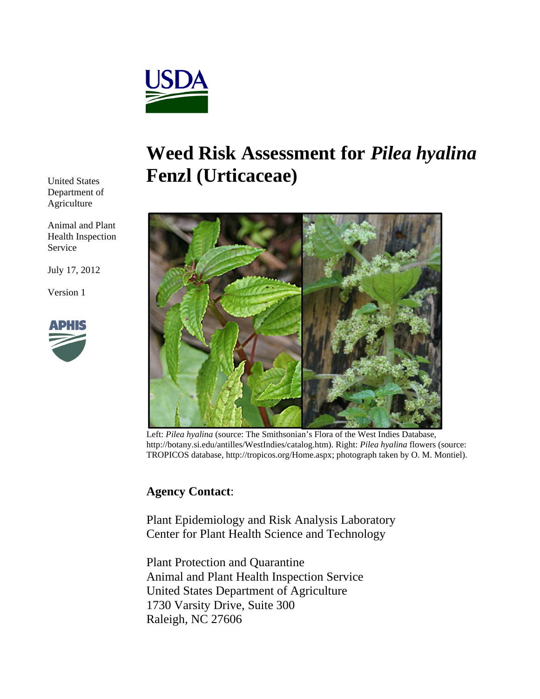

# **Weed Risk Assessment for** *Pilea hyalina*  **Fenzl (Urticaceae)**



Left: *Pilea hyalina* (source: The Smithsonian's Flora of the West Indies Database, http://botany.si.edu/antilles/WestIndies/catalog.htm). Right: *Pilea hyalina* flowers (source: TROPICOS database, http://tropicos.org/Home.aspx; photograph taken by O. M. Montiel).

## **Agency Contact**:

Plant Epidemiology and Risk Analysis Laboratory Center for Plant Health Science and Technology

Plant Protection and Quarantine Animal and Plant Health Inspection Service United States Department of Agriculture 1730 Varsity Drive, Suite 300 Raleigh, NC 27606

United States Department of Agriculture

Animal and Plant Health Inspection Service

July 17, 2012

Version 1

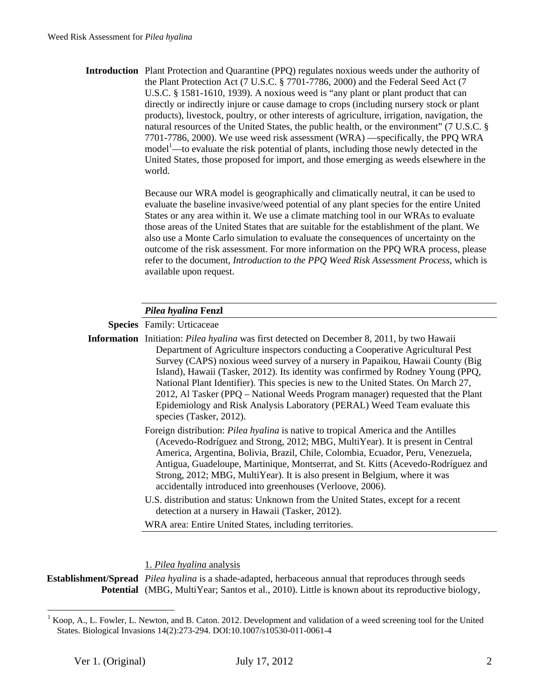**Introduction** Plant Protection and Quarantine (PPQ) regulates noxious weeds under the authority of the Plant Protection Act (7 U.S.C. § 7701-7786, 2000) and the Federal Seed Act (7 U.S.C. § 1581-1610, 1939). A noxious weed is "any plant or plant product that can directly or indirectly injure or cause damage to crops (including nursery stock or plant products), livestock, poultry, or other interests of agriculture, irrigation, navigation, the natural resources of the United States, the public health, or the environment" (7 U.S.C. § 7701-7786, 2000). We use weed risk assessment (WRA) —specifically, the PPQ WRA  $model<sup>1</sup>$  —to evaluate the risk potential of plants, including those newly detected in the United States, those proposed for import, and those emerging as weeds elsewhere in the world.

> Because our WRA model is geographically and climatically neutral, it can be used to evaluate the baseline invasive/weed potential of any plant species for the entire United States or any area within it. We use a climate matching tool in our WRAs to evaluate those areas of the United States that are suitable for the establishment of the plant. We also use a Monte Carlo simulation to evaluate the consequences of uncertainty on the outcome of the risk assessment. For more information on the PPQ WRA process, please refer to the document, *Introduction to the PPQ Weed Risk Assessment Process*, which is available upon request.

### *Pilea hyalina* **Fenzl**

**Species** Family: Urticaceae

**Information** Initiation: *Pilea hyalina* was first detected on December 8, 2011, by two Hawaii Department of Agriculture inspectors conducting a Cooperative Agricultural Pest Survey (CAPS) noxious weed survey of a nursery in Papaikou, Hawaii County (Big Island), Hawaii (Tasker, 2012). Its identity was confirmed by Rodney Young (PPQ, National Plant Identifier). This species is new to the United States. On March 27, 2012, Al Tasker (PPQ – National Weeds Program manager) requested that the Plant Epidemiology and Risk Analysis Laboratory (PERAL) Weed Team evaluate this species (Tasker, 2012).

- Foreign distribution: *Pilea hyalina* is native to tropical America and the Antilles (Acevedo-Rodríguez and Strong, 2012; MBG, MultiYear). It is present in Central America, Argentina, Bolivia, Brazil, Chile, Colombia, Ecuador, Peru, Venezuela, Antigua, Guadeloupe, Martinique, Montserrat, and St. Kitts (Acevedo-Rodríguez and Strong, 2012; MBG, MultiYear). It is also present in Belgium, where it was accidentally introduced into greenhouses (Verloove, 2006).
- U.S. distribution and status: Unknown from the United States, except for a recent detection at a nursery in Hawaii (Tasker, 2012).

WRA area: Entire United States, including territories.

### 1. *Pilea hyalina* analysis

**Establishment/Spread**  *Pilea hyalina* is a shade-adapted, herbaceous annual that reproduces through seeds Potential (MBG, MultiYear; Santos et al., 2010). Little is known about its reproductive biology,

 $\overline{a}$ 

<sup>1</sup> Koop, A., L. Fowler, L. Newton, and B. Caton. 2012. Development and validation of a weed screening tool for the United States. Biological Invasions 14(2):273-294. DOI:10.1007/s10530-011-0061-4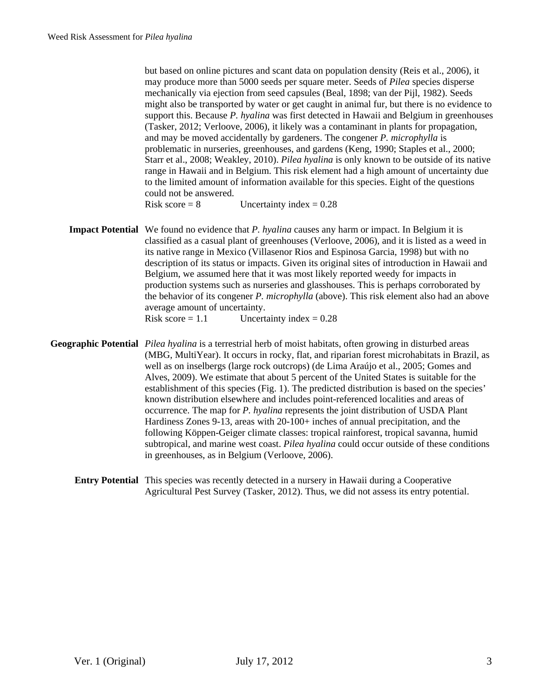but based on online pictures and scant data on population density (Reis et al., 2006), it may produce more than 5000 seeds per square meter. Seeds of *Pilea* species disperse mechanically via ejection from seed capsules (Beal, 1898; van der Pijl, 1982). Seeds might also be transported by water or get caught in animal fur, but there is no evidence to support this. Because *P. hyalina* was first detected in Hawaii and Belgium in greenhouses (Tasker, 2012; Verloove, 2006), it likely was a contaminant in plants for propagation, and may be moved accidentally by gardeners. The congener *P. microphylla* is problematic in nurseries, greenhouses, and gardens (Keng, 1990; Staples et al., 2000; Starr et al., 2008; Weakley, 2010). *Pilea hyalina* is only known to be outside of its native range in Hawaii and in Belgium. This risk element had a high amount of uncertainty due to the limited amount of information available for this species. Eight of the questions could not be answered.

Risk score  $= 8$  Uncertainty index  $= 0.28$ 

- **Impact Potential** We found no evidence that *P. hyalina* causes any harm or impact. In Belgium it is classified as a casual plant of greenhouses (Verloove, 2006), and it is listed as a weed in its native range in Mexico (Villasenor Rios and Espinosa Garcia, 1998) but with no description of its status or impacts. Given its original sites of introduction in Hawaii and Belgium, we assumed here that it was most likely reported weedy for impacts in production systems such as nurseries and glasshouses. This is perhaps corroborated by the behavior of its congener *P. microphylla* (above). This risk element also had an above average amount of uncertainty. Risk score =  $1.1$  Uncertainty index =  $0.28$
- **Geographic Potential** *Pilea hyalina* is a terrestrial herb of moist habitats, often growing in disturbed areas (MBG, MultiYear). It occurs in rocky, flat, and riparian forest microhabitats in Brazil, as well as on inselbergs (large rock outcrops) (de Lima Araújo et al., 2005; Gomes and Alves, 2009). We estimate that about 5 percent of the United States is suitable for the establishment of this species (Fig. 1). The predicted distribution is based on the species' known distribution elsewhere and includes point-referenced localities and areas of occurrence. The map for *P. hyalina* represents the joint distribution of USDA Plant Hardiness Zones 9-13, areas with 20-100+ inches of annual precipitation, and the following Köppen-Geiger climate classes: tropical rainforest, tropical savanna, humid subtropical, and marine west coast. *Pilea hyalina* could occur outside of these conditions in greenhouses, as in Belgium (Verloove, 2006).
	- **Entry Potential** This species was recently detected in a nursery in Hawaii during a Cooperative Agricultural Pest Survey (Tasker, 2012). Thus, we did not assess its entry potential.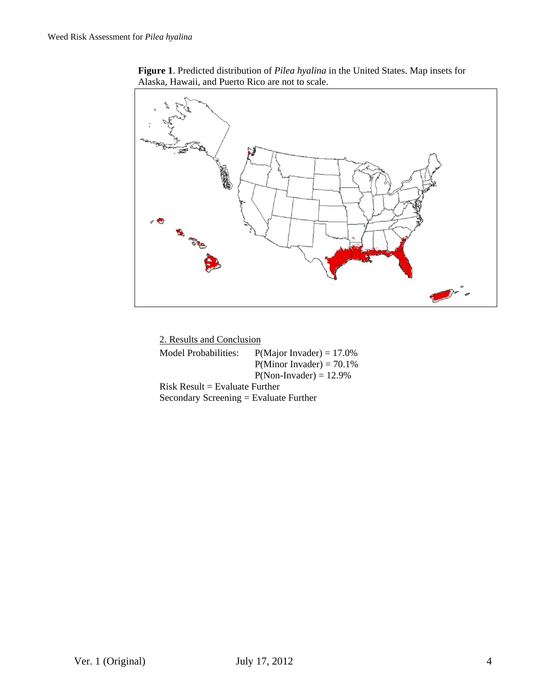**Figure 1**. Predicted distribution of *Pilea hyalina* in the United States. Map insets for Alaska, Hawaii, and Puerto Rico are not to scale.



| 2. Results and Conclusion                |                              |  |
|------------------------------------------|------------------------------|--|
| Model Probabilities:                     | $P(Major\ Invader) = 17.0\%$ |  |
|                                          | $P(Minor Invader) = 70.1\%$  |  |
|                                          | $P(Non- Invader) = 12.9\%$   |  |
| $Risk$ Result = Evaluate Further         |                              |  |
| Secondary Screening $=$ Evaluate Further |                              |  |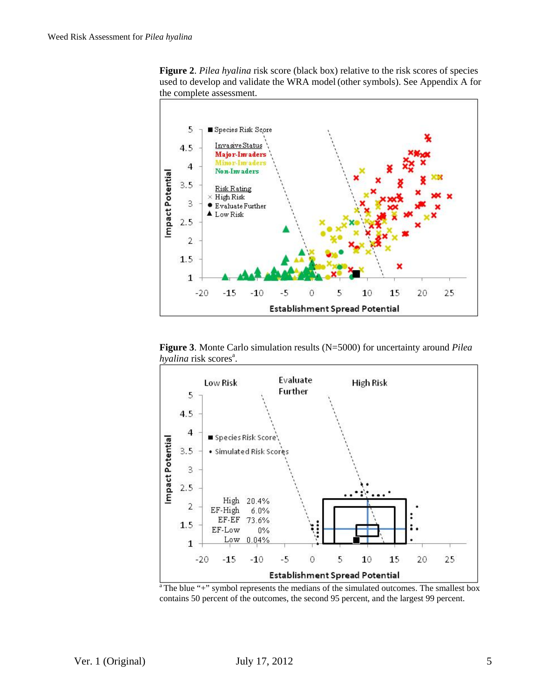



**Figure 3**. Monte Carlo simulation results (N=5000) for uncertainty around *Pilea hyalina* risk scores<sup>a</sup>.



 $a^2$ The blue "+" symbol represents the medians of the simulated outcomes. The smallest box contains 50 percent of the outcomes, the second 95 percent, and the largest 99 percent.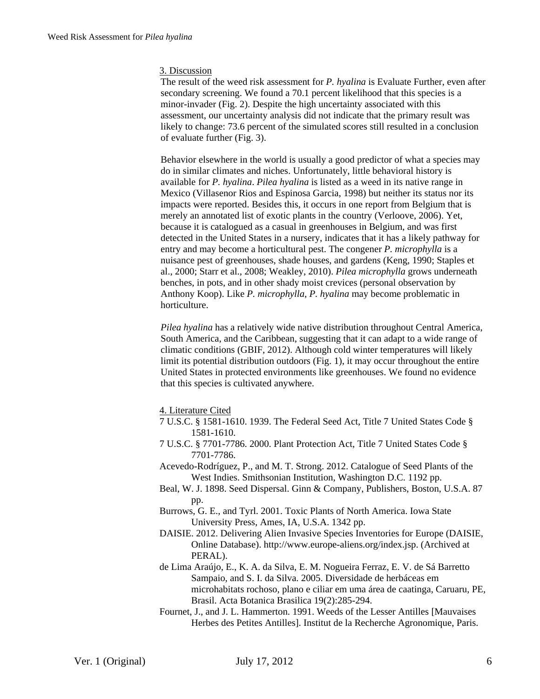### 3. Discussion

The result of the weed risk assessment for *P. hyalina* is Evaluate Further, even after secondary screening. We found a 70.1 percent likelihood that this species is a minor-invader (Fig. 2). Despite the high uncertainty associated with this assessment, our uncertainty analysis did not indicate that the primary result was likely to change: 73.6 percent of the simulated scores still resulted in a conclusion of evaluate further (Fig. 3).

Behavior elsewhere in the world is usually a good predictor of what a species may do in similar climates and niches. Unfortunately, little behavioral history is available for *P. hyalina*. *Pilea hyalina* is listed as a weed in its native range in Mexico (Villasenor Rios and Espinosa Garcia, 1998) but neither its status nor its impacts were reported. Besides this, it occurs in one report from Belgium that is merely an annotated list of exotic plants in the country (Verloove, 2006). Yet, because it is catalogued as a casual in greenhouses in Belgium, and was first detected in the United States in a nursery, indicates that it has a likely pathway for entry and may become a horticultural pest. The congener *P. microphylla* is a nuisance pest of greenhouses, shade houses, and gardens (Keng, 1990; Staples et al., 2000; Starr et al., 2008; Weakley, 2010). *Pilea microphylla* grows underneath benches, in pots, and in other shady moist crevices (personal observation by Anthony Koop). Like *P. microphylla*, *P. hyalina* may become problematic in horticulture.

*Pilea hyalina* has a relatively wide native distribution throughout Central America, South America, and the Caribbean, suggesting that it can adapt to a wide range of climatic conditions (GBIF, 2012). Although cold winter temperatures will likely limit its potential distribution outdoors (Fig. 1), it may occur throughout the entire United States in protected environments like greenhouses. We found no evidence that this species is cultivated anywhere.

### 4. Literature Cited

- 7 U.S.C. § 1581-1610. 1939. The Federal Seed Act, Title 7 United States Code § 1581-1610.
- 7 U.S.C. § 7701-7786. 2000. Plant Protection Act, Title 7 United States Code § 7701-7786.
- Acevedo-Rodríguez, P., and M. T. Strong. 2012. Catalogue of Seed Plants of the West Indies. Smithsonian Institution, Washington D.C. 1192 pp.
- Beal, W. J. 1898. Seed Dispersal. Ginn & Company, Publishers, Boston, U.S.A. 87 pp.
- Burrows, G. E., and Tyrl. 2001. Toxic Plants of North America. Iowa State University Press, Ames, IA, U.S.A. 1342 pp.
- DAISIE. 2012. Delivering Alien Invasive Species Inventories for Europe (DAISIE, Online Database). http://www.europe-aliens.org/index.jsp. (Archived at PERAL).
- de Lima Araújo, E., K. A. da Silva, E. M. Nogueira Ferraz, E. V. de Sá Barretto Sampaio, and S. I. da Silva. 2005. Diversidade de herbáceas em microhabitats rochoso, plano e ciliar em uma área de caatinga, Caruaru, PE, Brasil. Acta Botanica Brasilica 19(2):285-294.
- Fournet, J., and J. L. Hammerton. 1991. Weeds of the Lesser Antilles [Mauvaises Herbes des Petites Antilles]. Institut de la Recherche Agronomique, Paris.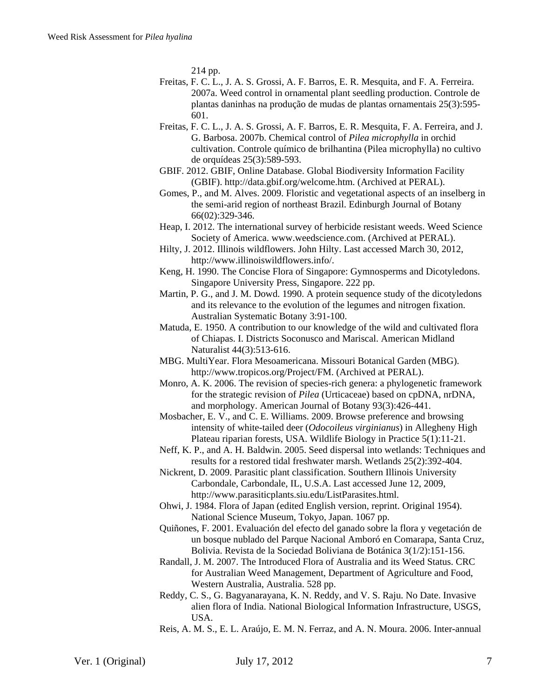214 pp.

- Freitas, F. C. L., J. A. S. Grossi, A. F. Barros, E. R. Mesquita, and F. A. Ferreira. 2007a. Weed control in ornamental plant seedling production. Controle de plantas daninhas na produção de mudas de plantas ornamentais 25(3):595- 601.
- Freitas, F. C. L., J. A. S. Grossi, A. F. Barros, E. R. Mesquita, F. A. Ferreira, and J. G. Barbosa. 2007b. Chemical control of *Pilea microphylla* in orchid cultivation. Controle químico de brilhantina (Pilea microphylla) no cultivo de orquídeas 25(3):589-593.
- GBIF. 2012. GBIF, Online Database. Global Biodiversity Information Facility (GBIF). http://data.gbif.org/welcome.htm. (Archived at PERAL).
- Gomes, P., and M. Alves. 2009. Floristic and vegetational aspects of an inselberg in the semi-arid region of northeast Brazil. Edinburgh Journal of Botany 66(02):329-346.
- Heap, I. 2012. The international survey of herbicide resistant weeds. Weed Science Society of America. www.weedscience.com. (Archived at PERAL).
- Hilty, J. 2012. Illinois wildflowers. John Hilty. Last accessed March 30, 2012, http://www.illinoiswildflowers.info/.
- Keng, H. 1990. The Concise Flora of Singapore: Gymnosperms and Dicotyledons. Singapore University Press, Singapore. 222 pp.
- Martin, P. G., and J. M. Dowd. 1990. A protein sequence study of the dicotyledons and its relevance to the evolution of the legumes and nitrogen fixation. Australian Systematic Botany 3:91-100.
- Matuda, E. 1950. A contribution to our knowledge of the wild and cultivated flora of Chiapas. I. Districts Soconusco and Mariscal. American Midland Naturalist 44(3):513-616.
- MBG. MultiYear. Flora Mesoamericana. Missouri Botanical Garden (MBG). http://www.tropicos.org/Project/FM. (Archived at PERAL).
- Monro, A. K. 2006. The revision of species-rich genera: a phylogenetic framework for the strategic revision of *Pilea* (Urticaceae) based on cpDNA, nrDNA, and morphology. American Journal of Botany 93(3):426-441.
- Mosbacher, E. V., and C. E. Williams. 2009. Browse preference and browsing intensity of white-tailed deer (*Odocoileus virginianus*) in Allegheny High Plateau riparian forests, USA. Wildlife Biology in Practice 5(1):11-21.
- Neff, K. P., and A. H. Baldwin. 2005. Seed dispersal into wetlands: Techniques and results for a restored tidal freshwater marsh. Wetlands 25(2):392-404.
- Nickrent, D. 2009. Parasitic plant classification. Southern Illinois University Carbondale, Carbondale, IL, U.S.A. Last accessed June 12, 2009, http://www.parasiticplants.siu.edu/ListParasites.html.
- Ohwi, J. 1984. Flora of Japan (edited English version, reprint. Original 1954). National Science Museum, Tokyo, Japan. 1067 pp.
- Quiñones, F. 2001. Evaluación del efecto del ganado sobre la flora y vegetación de un bosque nublado del Parque Nacional Amboró en Comarapa, Santa Cruz, Bolivia. Revista de la Sociedad Boliviana de Botánica 3(1/2):151-156.
- Randall, J. M. 2007. The Introduced Flora of Australia and its Weed Status. CRC for Australian Weed Management, Department of Agriculture and Food, Western Australia, Australia. 528 pp.
- Reddy, C. S., G. Bagyanarayana, K. N. Reddy, and V. S. Raju. No Date. Invasive alien flora of India. National Biological Information Infrastructure, USGS, USA.
- Reis, A. M. S., E. L. Araújo, E. M. N. Ferraz, and A. N. Moura. 2006. Inter-annual

Ver. 1 (Original) July 17, 2012 7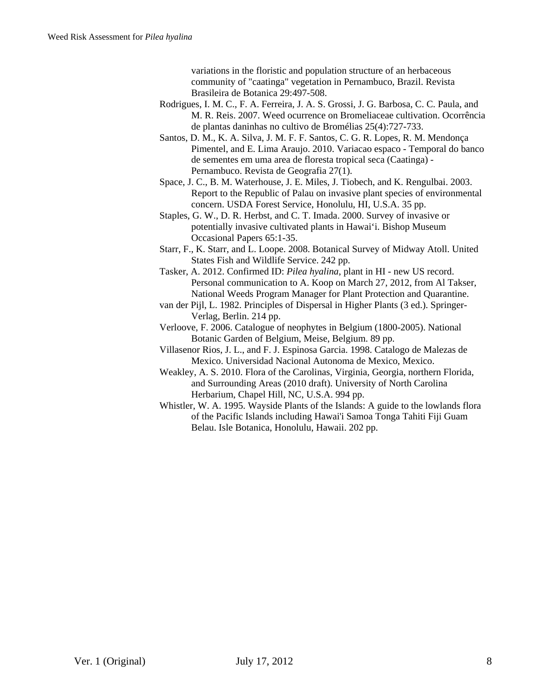variations in the floristic and population structure of an herbaceous community of "caatinga" vegetation in Pernambuco, Brazil. Revista Brasileira de Botanica 29:497-508.

- Rodrigues, I. M. C., F. A. Ferreira, J. A. S. Grossi, J. G. Barbosa, C. C. Paula, and M. R. Reis. 2007. Weed ocurrence on Bromeliaceae cultivation. Ocorrência de plantas daninhas no cultivo de Bromélias 25(4):727-733.
- Santos, D. M., K. A. Silva, J. M. F. F. Santos, C. G. R. Lopes, R. M. Mendonça Pimentel, and E. Lima Araujo. 2010. Variacao espaco - Temporal do banco de sementes em uma area de floresta tropical seca (Caatinga) - Pernambuco. Revista de Geografia 27(1).
- Space, J. C., B. M. Waterhouse, J. E. Miles, J. Tiobech, and K. Rengulbai. 2003. Report to the Republic of Palau on invasive plant species of environmental concern. USDA Forest Service, Honolulu, HI, U.S.A. 35 pp.
- Staples, G. W., D. R. Herbst, and C. T. Imada. 2000. Survey of invasive or potentially invasive cultivated plants in Hawai'i. Bishop Museum Occasional Papers 65:1-35.
- Starr, F., K. Starr, and L. Loope. 2008. Botanical Survey of Midway Atoll. United States Fish and Wildlife Service. 242 pp.
- Tasker, A. 2012. Confirmed ID: *Pilea hyalina*, plant in HI new US record. Personal communication to A. Koop on March 27, 2012, from Al Takser, National Weeds Program Manager for Plant Protection and Quarantine.

van der Pijl, L. 1982. Principles of Dispersal in Higher Plants (3 ed.). Springer-Verlag, Berlin. 214 pp.

- Verloove, F. 2006. Catalogue of neophytes in Belgium (1800-2005). National Botanic Garden of Belgium, Meise, Belgium. 89 pp.
- Villasenor Rios, J. L., and F. J. Espinosa Garcia. 1998. Catalogo de Malezas de Mexico. Universidad Nacional Autonoma de Mexico, Mexico.
- Weakley, A. S. 2010. Flora of the Carolinas, Virginia, Georgia, northern Florida, and Surrounding Areas (2010 draft). University of North Carolina Herbarium, Chapel Hill, NC, U.S.A. 994 pp.
- Whistler, W. A. 1995. Wayside Plants of the Islands: A guide to the lowlands flora of the Pacific Islands including Hawai'i Samoa Tonga Tahiti Fiji Guam Belau. Isle Botanica, Honolulu, Hawaii. 202 pp.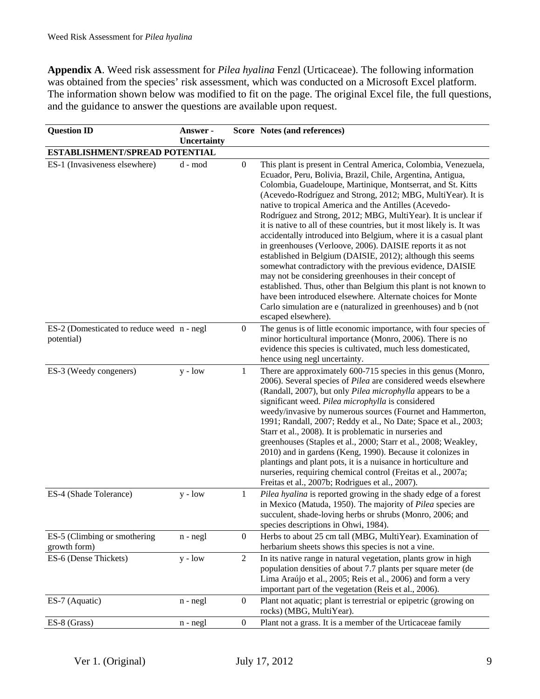**Appendix A**. Weed risk assessment for *Pilea hyalina* Fenzl (Urticaceae). The following information was obtained from the species' risk assessment, which was conducted on a Microsoft Excel platform. The information shown below was modified to fit on the page. The original Excel file, the full questions, and the guidance to answer the questions are available upon request.

| <b>Question ID</b>                                       | Answer -<br>Uncertainty |                  | Score Notes (and references)                                                                                                                                                                                                                                                                                                                                                                                                                                                                                                                                                                                                                                                                                                                                                                                                                                                                                                                                                                                    |
|----------------------------------------------------------|-------------------------|------------------|-----------------------------------------------------------------------------------------------------------------------------------------------------------------------------------------------------------------------------------------------------------------------------------------------------------------------------------------------------------------------------------------------------------------------------------------------------------------------------------------------------------------------------------------------------------------------------------------------------------------------------------------------------------------------------------------------------------------------------------------------------------------------------------------------------------------------------------------------------------------------------------------------------------------------------------------------------------------------------------------------------------------|
| ESTABLISHMENT/SPREAD POTENTIAL                           |                         |                  |                                                                                                                                                                                                                                                                                                                                                                                                                                                                                                                                                                                                                                                                                                                                                                                                                                                                                                                                                                                                                 |
| ES-1 (Invasiveness elsewhere)                            | d - mod                 | $\boldsymbol{0}$ | This plant is present in Central America, Colombia, Venezuela,<br>Ecuador, Peru, Bolivia, Brazil, Chile, Argentina, Antigua,<br>Colombia, Guadeloupe, Martinique, Montserrat, and St. Kitts<br>(Acevedo-Rodríguez and Strong, 2012; MBG, MultiYear). It is<br>native to tropical America and the Antilles (Acevedo-<br>Rodríguez and Strong, 2012; MBG, MultiYear). It is unclear if<br>it is native to all of these countries, but it most likely is. It was<br>accidentally introduced into Belgium, where it is a casual plant<br>in greenhouses (Verloove, 2006). DAISIE reports it as not<br>established in Belgium (DAISIE, 2012); although this seems<br>somewhat contradictory with the previous evidence, DAISIE<br>may not be considering greenhouses in their concept of<br>established. Thus, other than Belgium this plant is not known to<br>have been introduced elsewhere. Alternate choices for Monte<br>Carlo simulation are e (naturalized in greenhouses) and b (not<br>escaped elsewhere). |
| ES-2 (Domesticated to reduce weed n - negl<br>potential) |                         | $\overline{0}$   | The genus is of little economic importance, with four species of<br>minor horticultural importance (Monro, 2006). There is no<br>evidence this species is cultivated, much less domesticated,<br>hence using negl uncertainty.                                                                                                                                                                                                                                                                                                                                                                                                                                                                                                                                                                                                                                                                                                                                                                                  |
| ES-3 (Weedy congeners)                                   | $y - low$               | 1                | There are approximately 600-715 species in this genus (Monro,<br>2006). Several species of Pilea are considered weeds elsewhere<br>(Randall, 2007), but only Pilea microphylla appears to be a<br>significant weed. Pilea microphylla is considered<br>weedy/invasive by numerous sources (Fournet and Hammerton,<br>1991; Randall, 2007; Reddy et al., No Date; Space et al., 2003;<br>Starr et al., 2008). It is problematic in nurseries and<br>greenhouses (Staples et al., 2000; Starr et al., 2008; Weakley,<br>2010) and in gardens (Keng, 1990). Because it colonizes in<br>plantings and plant pots, it is a nuisance in horticulture and<br>nurseries, requiring chemical control (Freitas et al., 2007a;<br>Freitas et al., 2007b; Rodrigues et al., 2007).                                                                                                                                                                                                                                          |
| ES-4 (Shade Tolerance)                                   | $y - low$               | $\mathbf{1}$     | Pilea hyalina is reported growing in the shady edge of a forest<br>in Mexico (Matuda, 1950). The majority of Pilea species are<br>succulent, shade-loving herbs or shrubs (Monro, 2006; and<br>species descriptions in Ohwi, 1984).                                                                                                                                                                                                                                                                                                                                                                                                                                                                                                                                                                                                                                                                                                                                                                             |
| ES-5 (Climbing or smothering<br>growth form)             | $n - negl$              | $\boldsymbol{0}$ | Herbs to about 25 cm tall (MBG, MultiYear). Examination of<br>herbarium sheets shows this species is not a vine.                                                                                                                                                                                                                                                                                                                                                                                                                                                                                                                                                                                                                                                                                                                                                                                                                                                                                                |
| ES-6 (Dense Thickets)                                    | $y - low$               | $\overline{2}$   | In its native range in natural vegetation, plants grow in high<br>population densities of about 7.7 plants per square meter (de<br>Lima Araújo et al., 2005; Reis et al., 2006) and form a very<br>important part of the vegetation (Reis et al., 2006).                                                                                                                                                                                                                                                                                                                                                                                                                                                                                                                                                                                                                                                                                                                                                        |
| ES-7 (Aquatic)                                           | $n - negl$              | $\boldsymbol{0}$ | Plant not aquatic; plant is terrestrial or epipetric (growing on<br>rocks) (MBG, MultiYear).                                                                                                                                                                                                                                                                                                                                                                                                                                                                                                                                                                                                                                                                                                                                                                                                                                                                                                                    |
| ES-8 (Grass)                                             | $n - negl$              | $\boldsymbol{0}$ | Plant not a grass. It is a member of the Urticaceae family                                                                                                                                                                                                                                                                                                                                                                                                                                                                                                                                                                                                                                                                                                                                                                                                                                                                                                                                                      |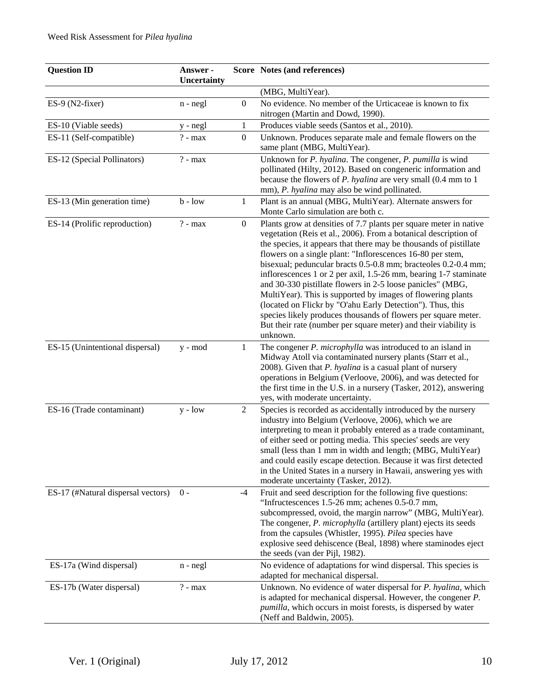| <b>Question ID</b>                 | Answer -<br><b>Uncertainty</b> |                  | Score Notes (and references)                                                                                                                                                                                                                                                                                                                                                                                                                                                                                                                                                                                                                                                                                                                              |
|------------------------------------|--------------------------------|------------------|-----------------------------------------------------------------------------------------------------------------------------------------------------------------------------------------------------------------------------------------------------------------------------------------------------------------------------------------------------------------------------------------------------------------------------------------------------------------------------------------------------------------------------------------------------------------------------------------------------------------------------------------------------------------------------------------------------------------------------------------------------------|
|                                    |                                |                  | (MBG, MultiYear).                                                                                                                                                                                                                                                                                                                                                                                                                                                                                                                                                                                                                                                                                                                                         |
| ES-9 (N2-fixer)                    | $n - negl$                     | $\boldsymbol{0}$ | No evidence. No member of the Urticaceae is known to fix<br>nitrogen (Martin and Dowd, 1990).                                                                                                                                                                                                                                                                                                                                                                                                                                                                                                                                                                                                                                                             |
| ES-10 (Viable seeds)               | y - negl                       | $\mathbf{1}$     | Produces viable seeds (Santos et al., 2010).                                                                                                                                                                                                                                                                                                                                                                                                                                                                                                                                                                                                                                                                                                              |
| ES-11 (Self-compatible)            | $? - max$                      | $\boldsymbol{0}$ | Unknown. Produces separate male and female flowers on the<br>same plant (MBG, MultiYear).                                                                                                                                                                                                                                                                                                                                                                                                                                                                                                                                                                                                                                                                 |
| ES-12 (Special Pollinators)        | $? - max$                      |                  | Unknown for P. hyalina. The congener, P. pumilla is wind<br>pollinated (Hilty, 2012). Based on congeneric information and<br>because the flowers of <i>P. hyalina</i> are very small (0.4 mm to 1)<br>mm), P. hyalina may also be wind pollinated.                                                                                                                                                                                                                                                                                                                                                                                                                                                                                                        |
| ES-13 (Min generation time)        | $b - low$                      | $\mathbf{1}$     | Plant is an annual (MBG, MultiYear). Alternate answers for<br>Monte Carlo simulation are both c.                                                                                                                                                                                                                                                                                                                                                                                                                                                                                                                                                                                                                                                          |
| ES-14 (Prolific reproduction)      | $? - max$                      | $\boldsymbol{0}$ | Plants grow at densities of 7.7 plants per square meter in native<br>vegetation (Reis et al., 2006). From a botanical description of<br>the species, it appears that there may be thousands of pistillate<br>flowers on a single plant: "Inflorescences 16-80 per stem,<br>bisexual; peduncular bracts 0.5-0.8 mm; bracteoles 0.2-0.4 mm;<br>inflorescences 1 or 2 per axil, 1.5-26 mm, bearing 1-7 staminate<br>and 30-330 pistillate flowers in 2-5 loose panicles" (MBG,<br>MultiYear). This is supported by images of flowering plants<br>(located on Flickr by "O'ahu Early Detection"). Thus, this<br>species likely produces thousands of flowers per square meter.<br>But their rate (number per square meter) and their viability is<br>unknown. |
| ES-15 (Unintentional dispersal)    | y - mod                        | 1                | The congener <i>P. microphylla</i> was introduced to an island in<br>Midway Atoll via contaminated nursery plants (Starr et al.,<br>2008). Given that P. hyalina is a casual plant of nursery<br>operations in Belgium (Verloove, 2006), and was detected for<br>the first time in the U.S. in a nursery (Tasker, 2012), answering<br>yes, with moderate uncertainty.                                                                                                                                                                                                                                                                                                                                                                                     |
| ES-16 (Trade contaminant)          | $y - low$                      | 2                | Species is recorded as accidentally introduced by the nursery<br>industry into Belgium (Verloove, 2006), which we are<br>interpreting to mean it probably entered as a trade contaminant,<br>of either seed or potting media. This species' seeds are very<br>small (less than 1 mm in width and length; (MBG, MultiYear)<br>and could easily escape detection. Because it was first detected<br>in the United States in a nursery in Hawaii, answering yes with<br>moderate uncertainty (Tasker, 2012).                                                                                                                                                                                                                                                  |
| ES-17 (#Natural dispersal vectors) | $0 -$                          | -4               | Fruit and seed description for the following five questions:<br>"Infructescences 1.5-26 mm; achenes 0.5-0.7 mm,<br>subcompressed, ovoid, the margin narrow" (MBG, MultiYear).<br>The congener, <i>P. microphylla</i> (artillery plant) ejects its seeds<br>from the capsules (Whistler, 1995). Pilea species have<br>explosive seed dehiscence (Beal, 1898) where staminodes eject<br>the seeds (van der Pijl, 1982).                                                                                                                                                                                                                                                                                                                                     |
| ES-17a (Wind dispersal)            | $n - negl$                     |                  | No evidence of adaptations for wind dispersal. This species is<br>adapted for mechanical dispersal.                                                                                                                                                                                                                                                                                                                                                                                                                                                                                                                                                                                                                                                       |
| ES-17b (Water dispersal)           | $? - max$                      |                  | Unknown. No evidence of water dispersal for P. hyalina, which<br>is adapted for mechanical dispersal. However, the congener $P$ .<br>pumilla, which occurs in moist forests, is dispersed by water<br>(Neff and Baldwin, 2005).                                                                                                                                                                                                                                                                                                                                                                                                                                                                                                                           |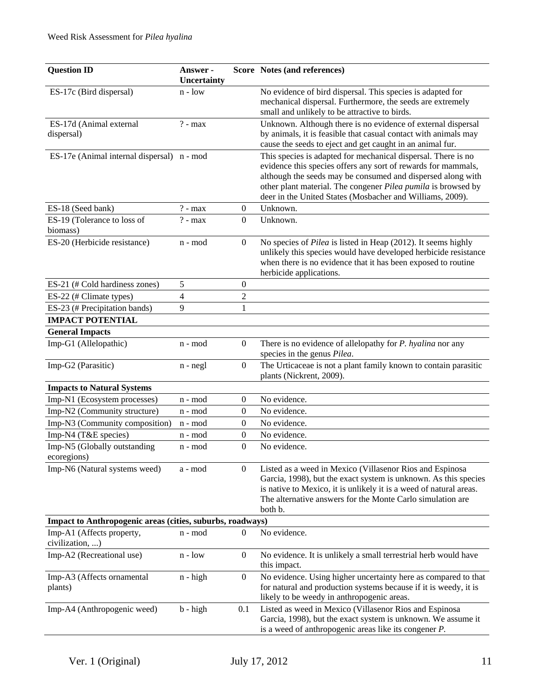| <b>Question ID</b>                                        | Answer -<br><b>Uncertainty</b> |                  | Score Notes (and references)                                                                                                                                                                                                                                                                                                |
|-----------------------------------------------------------|--------------------------------|------------------|-----------------------------------------------------------------------------------------------------------------------------------------------------------------------------------------------------------------------------------------------------------------------------------------------------------------------------|
| ES-17c (Bird dispersal)                                   | $n - low$                      |                  | No evidence of bird dispersal. This species is adapted for<br>mechanical dispersal. Furthermore, the seeds are extremely<br>small and unlikely to be attractive to birds.                                                                                                                                                   |
| ES-17d (Animal external<br>dispersal)                     | $? - max$                      |                  | Unknown. Although there is no evidence of external dispersal<br>by animals, it is feasible that casual contact with animals may<br>cause the seeds to eject and get caught in an animal fur.                                                                                                                                |
| ES-17e (Animal internal dispersal) n - mod                |                                |                  | This species is adapted for mechanical dispersal. There is no<br>evidence this species offers any sort of rewards for mammals,<br>although the seeds may be consumed and dispersed along with<br>other plant material. The congener Pilea pumila is browsed by<br>deer in the United States (Mosbacher and Williams, 2009). |
| ES-18 (Seed bank)                                         | $? - max$                      | $\boldsymbol{0}$ | Unknown.                                                                                                                                                                                                                                                                                                                    |
| ES-19 (Tolerance to loss of<br>biomass)                   | $? - max$                      | $\boldsymbol{0}$ | Unknown.                                                                                                                                                                                                                                                                                                                    |
| ES-20 (Herbicide resistance)                              | n - mod                        | $\mathbf{0}$     | No species of Pilea is listed in Heap (2012). It seems highly<br>unlikely this species would have developed herbicide resistance<br>when there is no evidence that it has been exposed to routine<br>herbicide applications.                                                                                                |
| ES-21 (# Cold hardiness zones)                            | 5                              | $\boldsymbol{0}$ |                                                                                                                                                                                                                                                                                                                             |
| ES-22 (# Climate types)                                   | $\overline{\mathcal{L}}$       | $\overline{2}$   |                                                                                                                                                                                                                                                                                                                             |
| ES-23 (# Precipitation bands)                             | 9                              | $\mathbf{1}$     |                                                                                                                                                                                                                                                                                                                             |
| <b>IMPACT POTENTIAL</b>                                   |                                |                  |                                                                                                                                                                                                                                                                                                                             |
| <b>General Impacts</b>                                    |                                |                  |                                                                                                                                                                                                                                                                                                                             |
| Imp-G1 (Allelopathic)                                     | n - mod                        | $\boldsymbol{0}$ | There is no evidence of allelopathy for <i>P. hyalina</i> nor any<br>species in the genus Pilea.                                                                                                                                                                                                                            |
| Imp-G2 (Parasitic)                                        | n - negl                       | $\boldsymbol{0}$ | The Urticaceae is not a plant family known to contain parasitic<br>plants (Nickrent, 2009).                                                                                                                                                                                                                                 |
| <b>Impacts to Natural Systems</b>                         |                                |                  |                                                                                                                                                                                                                                                                                                                             |
| Imp-N1 (Ecosystem processes)                              | n - mod                        | 0                | No evidence.                                                                                                                                                                                                                                                                                                                |
| Imp-N2 (Community structure)                              | n - mod                        | $\theta$         | No evidence.                                                                                                                                                                                                                                                                                                                |
| Imp-N3 (Community composition)                            | n - mod                        | $\boldsymbol{0}$ | No evidence.                                                                                                                                                                                                                                                                                                                |
| Imp-N4 (T&E species)                                      | n - mod                        | 0                | No evidence.                                                                                                                                                                                                                                                                                                                |
| Imp-N5 (Globally outstanding<br>ecoregions)               | n - mod                        | $\boldsymbol{0}$ | No evidence.                                                                                                                                                                                                                                                                                                                |
| Imp-N6 (Natural systems weed)                             | a - mod                        | $\boldsymbol{0}$ | Listed as a weed in Mexico (Villasenor Rios and Espinosa<br>Garcia, 1998), but the exact system is unknown. As this species<br>is native to Mexico, it is unlikely it is a weed of natural areas.<br>The alternative answers for the Monte Carlo simulation are<br>both b.                                                  |
| Impact to Anthropogenic areas (cities, suburbs, roadways) |                                |                  |                                                                                                                                                                                                                                                                                                                             |
| Imp-A1 (Affects property,<br>civilization, )              | n - mod                        | $\Omega$         | No evidence.                                                                                                                                                                                                                                                                                                                |
| Imp-A2 (Recreational use)                                 | $n - low$                      | $\boldsymbol{0}$ | No evidence. It is unlikely a small terrestrial herb would have<br>this impact.                                                                                                                                                                                                                                             |
| Imp-A3 (Affects ornamental<br>plants)                     | $n - high$                     | $\boldsymbol{0}$ | No evidence. Using higher uncertainty here as compared to that<br>for natural and production systems because if it is weedy, it is<br>likely to be weedy in anthropogenic areas.                                                                                                                                            |
| Imp-A4 (Anthropogenic weed)                               | $b - high$                     | 0.1              | Listed as weed in Mexico (Villasenor Rios and Espinosa<br>Garcia, 1998), but the exact system is unknown. We assume it<br>is a weed of anthropogenic areas like its congener $P$ .                                                                                                                                          |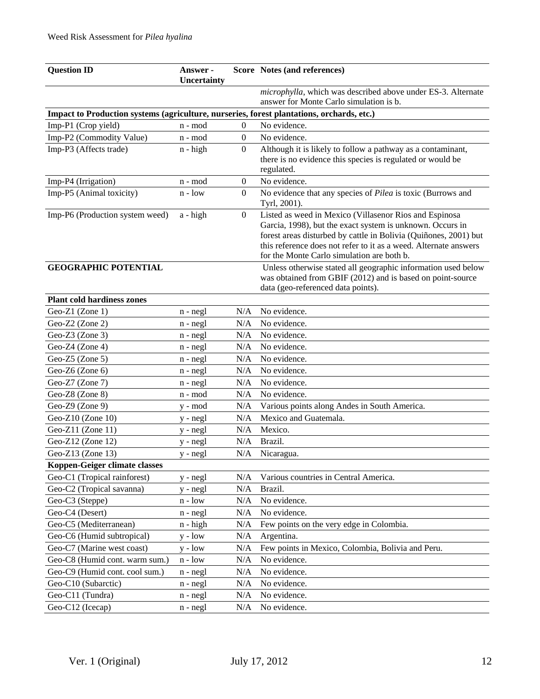| <b>Question ID</b>                                                                        | Answer -<br>Uncertainty |                  | Score Notes (and references)                                                                                                                                                                                                                                                                              |
|-------------------------------------------------------------------------------------------|-------------------------|------------------|-----------------------------------------------------------------------------------------------------------------------------------------------------------------------------------------------------------------------------------------------------------------------------------------------------------|
|                                                                                           |                         |                  | microphylla, which was described above under ES-3. Alternate<br>answer for Monte Carlo simulation is b.                                                                                                                                                                                                   |
| Impact to Production systems (agriculture, nurseries, forest plantations, orchards, etc.) |                         |                  |                                                                                                                                                                                                                                                                                                           |
| Imp-P1 (Crop yield)                                                                       | n - mod                 | $\overline{0}$   | No evidence.                                                                                                                                                                                                                                                                                              |
| Imp-P2 (Commodity Value)                                                                  | n - mod                 | $\boldsymbol{0}$ | No evidence.                                                                                                                                                                                                                                                                                              |
| Imp-P3 (Affects trade)                                                                    | $n - high$              | $\mathbf{0}$     | Although it is likely to follow a pathway as a contaminant,                                                                                                                                                                                                                                               |
|                                                                                           |                         |                  | there is no evidence this species is regulated or would be                                                                                                                                                                                                                                                |
|                                                                                           |                         |                  | regulated.                                                                                                                                                                                                                                                                                                |
| Imp-P4 (Irrigation)                                                                       | n - mod                 | $\boldsymbol{0}$ | No evidence.                                                                                                                                                                                                                                                                                              |
| Imp-P5 (Animal toxicity)                                                                  | $n - low$               | $\mathbf{0}$     | No evidence that any species of Pilea is toxic (Burrows and<br>Tyrl, 2001).                                                                                                                                                                                                                               |
| Imp-P6 (Production system weed)                                                           | $a - high$              | $\boldsymbol{0}$ | Listed as weed in Mexico (Villasenor Rios and Espinosa<br>Garcia, 1998), but the exact system is unknown. Occurs in<br>forest areas disturbed by cattle in Bolivia (Quiñones, 2001) but<br>this reference does not refer to it as a weed. Alternate answers<br>for the Monte Carlo simulation are both b. |
| <b>GEOGRAPHIC POTENTIAL</b>                                                               |                         |                  | Unless otherwise stated all geographic information used below<br>was obtained from GBIF (2012) and is based on point-source<br>data (geo-referenced data points).                                                                                                                                         |
| <b>Plant cold hardiness zones</b>                                                         |                         |                  |                                                                                                                                                                                                                                                                                                           |
| Geo-Z1 (Zone 1)                                                                           | $n - negl$              | N/A              | No evidence.                                                                                                                                                                                                                                                                                              |
| Geo-Z2 (Zone 2)                                                                           | $n - negl$              | N/A              | No evidence.                                                                                                                                                                                                                                                                                              |
| Geo-Z $3$ (Zone 3)                                                                        | $n - negl$              | N/A              | No evidence.                                                                                                                                                                                                                                                                                              |
| Geo-Z4 (Zone 4)                                                                           | $n - negl$              | N/A              | No evidence.                                                                                                                                                                                                                                                                                              |
| Geo-Z5 (Zone 5)                                                                           | $n - negl$              | N/A              | No evidence.                                                                                                                                                                                                                                                                                              |
| Geo-Z6 (Zone 6)                                                                           | n - negl                | N/A              | No evidence.                                                                                                                                                                                                                                                                                              |
| Geo-Z7 (Zone 7)                                                                           | $n - negl$              | N/A              | No evidence.                                                                                                                                                                                                                                                                                              |
| Geo-Z8 (Zone 8)                                                                           | n - mod                 | N/A              | No evidence.                                                                                                                                                                                                                                                                                              |
| Geo-Z9 (Zone 9)                                                                           | y - mod                 | N/A              | Various points along Andes in South America.                                                                                                                                                                                                                                                              |
| Geo-Z10 (Zone 10)                                                                         | y - negl                | N/A              | Mexico and Guatemala.                                                                                                                                                                                                                                                                                     |
| Geo-Z11 (Zone 11)                                                                         | y - negl                | N/A              | Mexico.                                                                                                                                                                                                                                                                                                   |
| Geo-Z12 (Zone 12)                                                                         | y - negl                | N/A              | Brazil.                                                                                                                                                                                                                                                                                                   |
| Geo-Z13 (Zone 13)                                                                         | y - negl                | N/A              | Nicaragua.                                                                                                                                                                                                                                                                                                |
| Koppen-Geiger climate classes                                                             |                         |                  |                                                                                                                                                                                                                                                                                                           |
| Geo-C1 (Tropical rainforest)                                                              | $y - negl$              | N/A              | Various countries in Central America.                                                                                                                                                                                                                                                                     |
| Geo-C2 (Tropical savanna)                                                                 | $y - negl$              | N/A              | Brazil.                                                                                                                                                                                                                                                                                                   |
| Geo-C3 (Steppe)                                                                           | $n - low$               | N/A              | No evidence.                                                                                                                                                                                                                                                                                              |
| Geo-C4 (Desert)                                                                           | $n - negl$              | N/A              | No evidence.                                                                                                                                                                                                                                                                                              |
| Geo-C5 (Mediterranean)                                                                    | n - high                | N/A              | Few points on the very edge in Colombia.                                                                                                                                                                                                                                                                  |
| Geo-C6 (Humid subtropical)                                                                | $y - low$               | N/A              | Argentina.                                                                                                                                                                                                                                                                                                |
| Geo-C7 (Marine west coast)                                                                | $y - low$               | N/A              | Few points in Mexico, Colombia, Bolivia and Peru.                                                                                                                                                                                                                                                         |
| Geo-C8 (Humid cont. warm sum.)                                                            | $n - low$               | N/A              | No evidence.                                                                                                                                                                                                                                                                                              |
| Geo-C9 (Humid cont. cool sum.)                                                            | $n - negl$              | N/A              | No evidence.                                                                                                                                                                                                                                                                                              |
| Geo-C10 (Subarctic)                                                                       | $n - negl$              | N/A              | No evidence.                                                                                                                                                                                                                                                                                              |
| Geo-C11 (Tundra)                                                                          | $n - negl$              | N/A              | No evidence.                                                                                                                                                                                                                                                                                              |
| Geo-C12 (Icecap)                                                                          | $n - negl$              | N/A              | No evidence.                                                                                                                                                                                                                                                                                              |